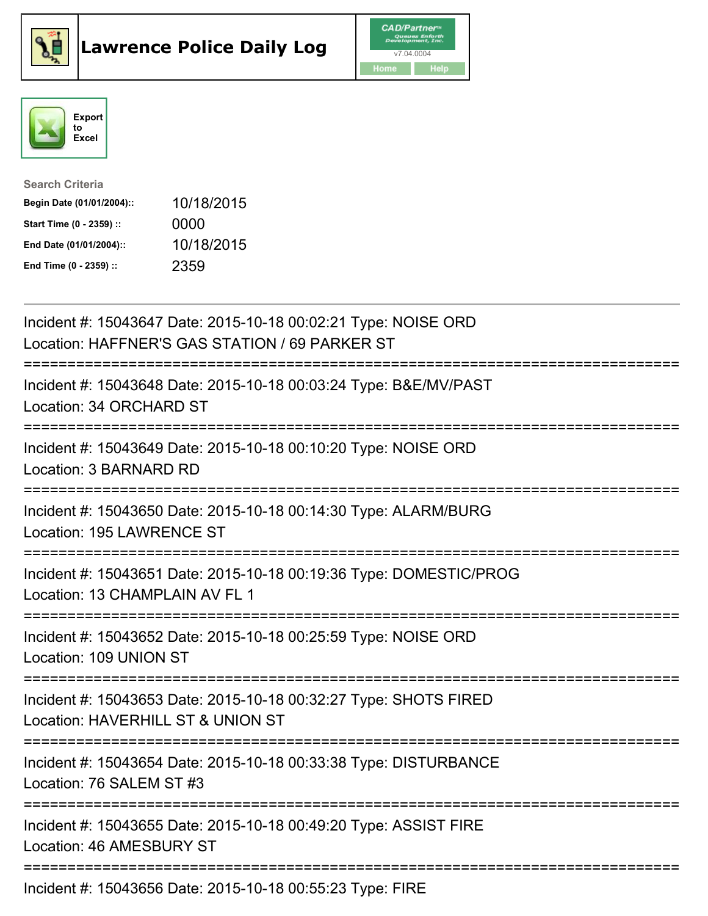





| <b>Search Criteria</b>    |            |
|---------------------------|------------|
| Begin Date (01/01/2004):: | 10/18/2015 |
| Start Time (0 - 2359) ::  | 0000       |
| End Date (01/01/2004)::   | 10/18/2015 |
| End Time (0 - 2359) ::    | 2359       |

| Incident #: 15043647 Date: 2015-10-18 00:02:21 Type: NOISE ORD<br>Location: HAFFNER'S GAS STATION / 69 PARKER ST    |
|---------------------------------------------------------------------------------------------------------------------|
| Incident #: 15043648 Date: 2015-10-18 00:03:24 Type: B&E/MV/PAST<br>Location: 34 ORCHARD ST                         |
| Incident #: 15043649 Date: 2015-10-18 00:10:20 Type: NOISE ORD<br>Location: 3 BARNARD RD                            |
| Incident #: 15043650 Date: 2015-10-18 00:14:30 Type: ALARM/BURG<br>Location: 195 LAWRENCE ST                        |
| Incident #: 15043651 Date: 2015-10-18 00:19:36 Type: DOMESTIC/PROG<br>Location: 13 CHAMPLAIN AV FL 1<br>----------- |
| Incident #: 15043652 Date: 2015-10-18 00:25:59 Type: NOISE ORD<br>Location: 109 UNION ST                            |
| Incident #: 15043653 Date: 2015-10-18 00:32:27 Type: SHOTS FIRED<br>Location: HAVERHILL ST & UNION ST               |
| Incident #: 15043654 Date: 2015-10-18 00:33:38 Type: DISTURBANCE<br>Location: 76 SALEM ST #3                        |
| Incident #: 15043655 Date: 2015-10-18 00:49:20 Type: ASSIST FIRE<br>Location: 46 AMESBURY ST                        |
| Incident #: 15043656 Date: 2015-10-18 00:55:23 Type: FIRE                                                           |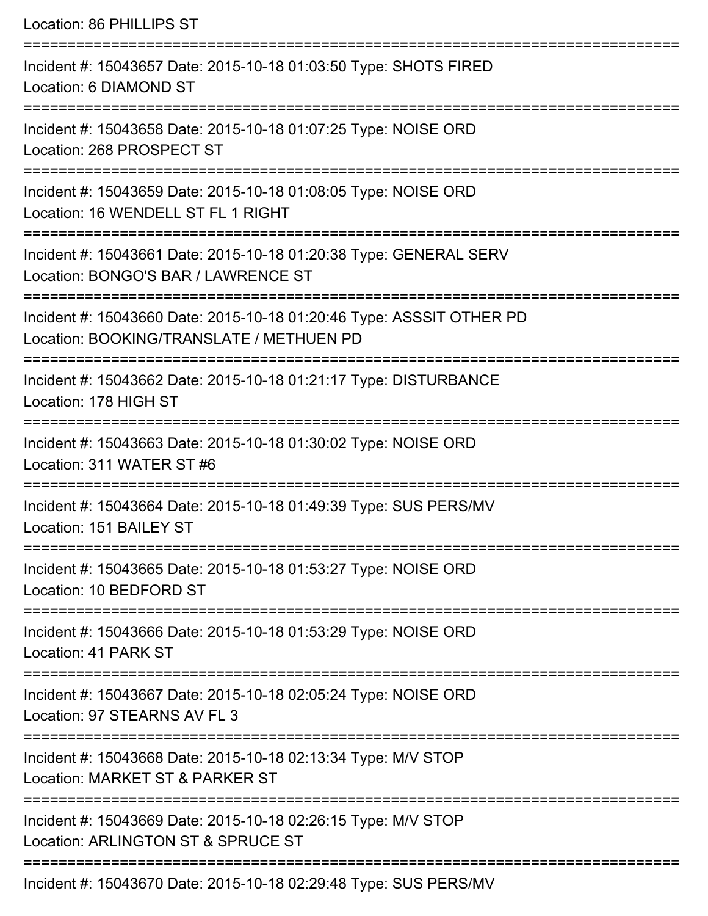| Location: 86 PHILLIPS ST                                                                                         |
|------------------------------------------------------------------------------------------------------------------|
| Incident #: 15043657 Date: 2015-10-18 01:03:50 Type: SHOTS FIRED<br>Location: 6 DIAMOND ST                       |
| Incident #: 15043658 Date: 2015-10-18 01:07:25 Type: NOISE ORD<br>Location: 268 PROSPECT ST                      |
| Incident #: 15043659 Date: 2015-10-18 01:08:05 Type: NOISE ORD<br>Location: 16 WENDELL ST FL 1 RIGHT             |
| Incident #: 15043661 Date: 2015-10-18 01:20:38 Type: GENERAL SERV<br>Location: BONGO'S BAR / LAWRENCE ST         |
| Incident #: 15043660 Date: 2015-10-18 01:20:46 Type: ASSSIT OTHER PD<br>Location: BOOKING/TRANSLATE / METHUEN PD |
| Incident #: 15043662 Date: 2015-10-18 01:21:17 Type: DISTURBANCE<br>Location: 178 HIGH ST                        |
| Incident #: 15043663 Date: 2015-10-18 01:30:02 Type: NOISE ORD<br>Location: 311 WATER ST #6                      |
| Incident #: 15043664 Date: 2015-10-18 01:49:39 Type: SUS PERS/MV<br>Location: 151 BAILEY ST                      |
| Incident #: 15043665 Date: 2015-10-18 01:53:27 Type: NOISE ORD<br>Location: 10 BEDFORD ST                        |
| Incident #: 15043666 Date: 2015-10-18 01:53:29 Type: NOISE ORD<br>Location: 41 PARK ST                           |
| Incident #: 15043667 Date: 2015-10-18 02:05:24 Type: NOISE ORD<br>Location: 97 STEARNS AV FL 3                   |
| Incident #: 15043668 Date: 2015-10-18 02:13:34 Type: M/V STOP<br>Location: MARKET ST & PARKER ST                 |
| Incident #: 15043669 Date: 2015-10-18 02:26:15 Type: M/V STOP<br>Location: ARLINGTON ST & SPRUCE ST              |
| Incident #: 15043670 Date: 2015-10-18 02:29:48 Type: SUS PERS/MV                                                 |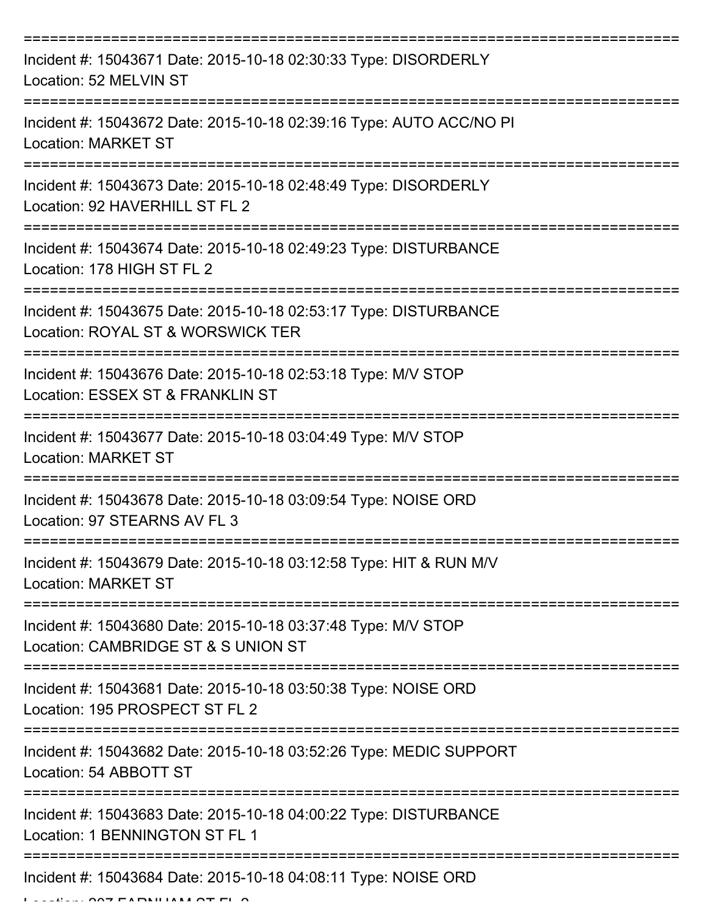| Incident #: 15043671 Date: 2015-10-18 02:30:33 Type: DISORDERLY<br>Location: 52 MELVIN ST             |
|-------------------------------------------------------------------------------------------------------|
| Incident #: 15043672 Date: 2015-10-18 02:39:16 Type: AUTO ACC/NO PI<br><b>Location: MARKET ST</b>     |
| Incident #: 15043673 Date: 2015-10-18 02:48:49 Type: DISORDERLY<br>Location: 92 HAVERHILL ST FL 2     |
| Incident #: 15043674 Date: 2015-10-18 02:49:23 Type: DISTURBANCE<br>Location: 178 HIGH ST FL 2        |
| Incident #: 15043675 Date: 2015-10-18 02:53:17 Type: DISTURBANCE<br>Location: ROYAL ST & WORSWICK TER |
| Incident #: 15043676 Date: 2015-10-18 02:53:18 Type: M/V STOP<br>Location: ESSEX ST & FRANKLIN ST     |
| Incident #: 15043677 Date: 2015-10-18 03:04:49 Type: M/V STOP<br><b>Location: MARKET ST</b>           |
| Incident #: 15043678 Date: 2015-10-18 03:09:54 Type: NOISE ORD<br>Location: 97 STEARNS AV FL 3        |
| Incident #: 15043679 Date: 2015-10-18 03:12:58 Type: HIT & RUN M/V<br><b>Location: MARKET ST</b>      |
| Incident #: 15043680 Date: 2015-10-18 03:37:48 Type: M/V STOP<br>Location: CAMBRIDGE ST & S UNION ST  |
| Incident #: 15043681 Date: 2015-10-18 03:50:38 Type: NOISE ORD<br>Location: 195 PROSPECT ST FL 2      |
| Incident #: 15043682 Date: 2015-10-18 03:52:26 Type: MEDIC SUPPORT<br>Location: 54 ABBOTT ST          |
| Incident #: 15043683 Date: 2015-10-18 04:00:22 Type: DISTURBANCE<br>Location: 1 BENNINGTON ST FL 1    |
| Incident #: 15043684 Date: 2015-10-18 04:08:11 Type: NOISE ORD                                        |

 $L$ ....  $\Delta \rightarrow$  FARNHAM  $\Delta \rightarrow$  FL  $\Delta$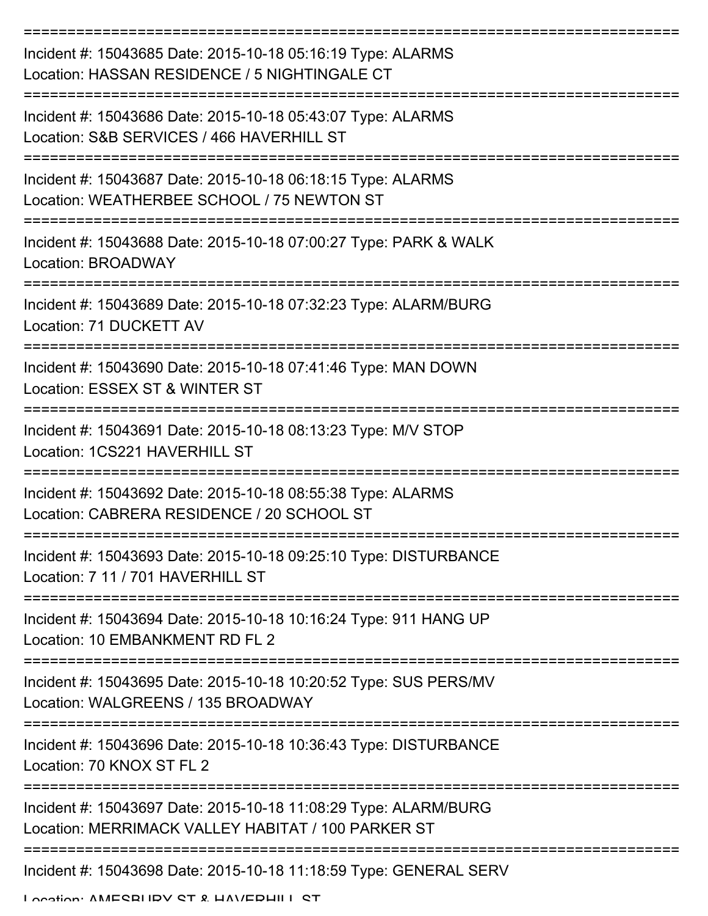| Incident #: 15043685 Date: 2015-10-18 05:16:19 Type: ALARMS<br>Location: HASSAN RESIDENCE / 5 NIGHTINGALE CT          |
|-----------------------------------------------------------------------------------------------------------------------|
| Incident #: 15043686 Date: 2015-10-18 05:43:07 Type: ALARMS<br>Location: S&B SERVICES / 466 HAVERHILL ST              |
| Incident #: 15043687 Date: 2015-10-18 06:18:15 Type: ALARMS<br>Location: WEATHERBEE SCHOOL / 75 NEWTON ST             |
| Incident #: 15043688 Date: 2015-10-18 07:00:27 Type: PARK & WALK<br>Location: BROADWAY                                |
| Incident #: 15043689 Date: 2015-10-18 07:32:23 Type: ALARM/BURG<br>Location: 71 DUCKETT AV                            |
| Incident #: 15043690 Date: 2015-10-18 07:41:46 Type: MAN DOWN<br>Location: ESSEX ST & WINTER ST                       |
| Incident #: 15043691 Date: 2015-10-18 08:13:23 Type: M/V STOP<br>Location: 1CS221 HAVERHILL ST                        |
| Incident #: 15043692 Date: 2015-10-18 08:55:38 Type: ALARMS<br>Location: CABRERA RESIDENCE / 20 SCHOOL ST             |
| Incident #: 15043693 Date: 2015-10-18 09:25:10 Type: DISTURBANCE<br>Location: 7 11 / 701 HAVERHILL ST                 |
| Incident #: 15043694 Date: 2015-10-18 10:16:24 Type: 911 HANG UP<br>Location: 10 EMBANKMENT RD FL 2                   |
| Incident #: 15043695 Date: 2015-10-18 10:20:52 Type: SUS PERS/MV<br>Location: WALGREENS / 135 BROADWAY                |
| Incident #: 15043696 Date: 2015-10-18 10:36:43 Type: DISTURBANCE<br>Location: 70 KNOX ST FL 2                         |
| Incident #: 15043697 Date: 2015-10-18 11:08:29 Type: ALARM/BURG<br>Location: MERRIMACK VALLEY HABITAT / 100 PARKER ST |
| Incident #: 15043698 Date: 2015-10-18 11:18:59 Type: GENERAL SERV<br>I occion: AMECRHDV CT & HAVEDHILL CT             |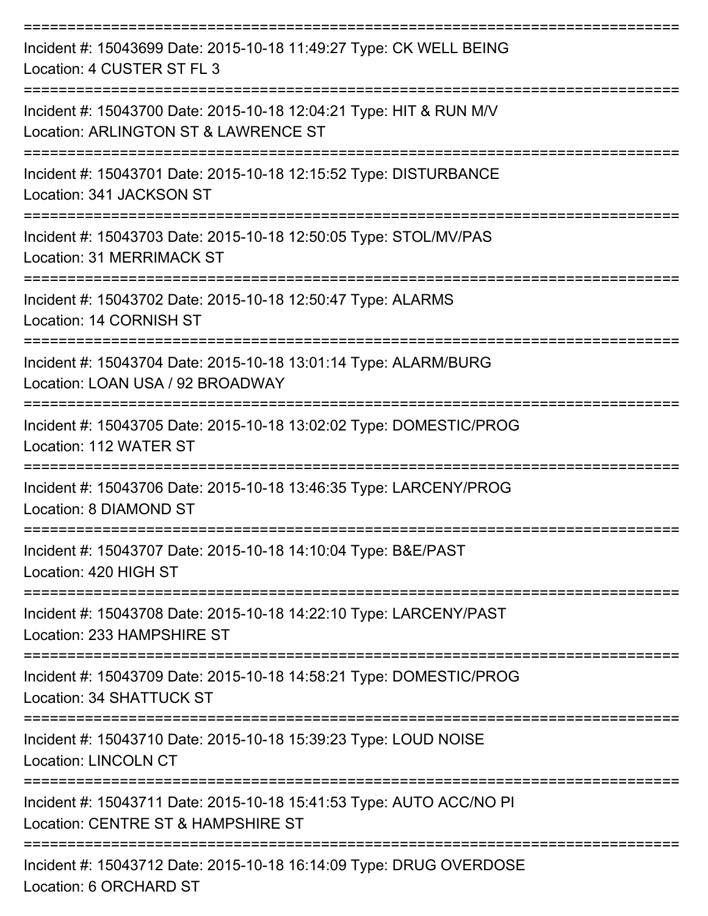| Incident #: 15043699 Date: 2015-10-18 11:49:27 Type: CK WELL BEING<br>Location: 4 CUSTER ST FL 3                       |
|------------------------------------------------------------------------------------------------------------------------|
| Incident #: 15043700 Date: 2015-10-18 12:04:21 Type: HIT & RUN M/V<br>Location: ARLINGTON ST & LAWRENCE ST             |
| Incident #: 15043701 Date: 2015-10-18 12:15:52 Type: DISTURBANCE<br>Location: 341 JACKSON ST                           |
| Incident #: 15043703 Date: 2015-10-18 12:50:05 Type: STOL/MV/PAS<br>Location: 31 MERRIMACK ST                          |
| Incident #: 15043702 Date: 2015-10-18 12:50:47 Type: ALARMS<br>Location: 14 CORNISH ST                                 |
| Incident #: 15043704 Date: 2015-10-18 13:01:14 Type: ALARM/BURG<br>Location: LOAN USA / 92 BROADWAY<br>--------------- |
| Incident #: 15043705 Date: 2015-10-18 13:02:02 Type: DOMESTIC/PROG<br>Location: 112 WATER ST                           |
| Incident #: 15043706 Date: 2015-10-18 13:46:35 Type: LARCENY/PROG<br>Location: 8 DIAMOND ST                            |
| Incident #: 15043707 Date: 2015-10-18 14:10:04 Type: B&E/PAST<br>Location: 420 HIGH ST                                 |
| Incident #: 15043708 Date: 2015-10-18 14:22:10 Type: LARCENY/PAST<br>Location: 233 HAMPSHIRE ST                        |
| Incident #: 15043709 Date: 2015-10-18 14:58:21 Type: DOMESTIC/PROG<br>Location: 34 SHATTUCK ST                         |
| Incident #: 15043710 Date: 2015-10-18 15:39:23 Type: LOUD NOISE<br><b>Location: LINCOLN CT</b>                         |
| Incident #: 15043711 Date: 2015-10-18 15:41:53 Type: AUTO ACC/NO PI<br>Location: CENTRE ST & HAMPSHIRE ST              |
| Incident #: 15043712 Date: 2015-10-18 16:14:09 Type: DRUG OVERDOSE                                                     |

Location: 6 ORCHARD ST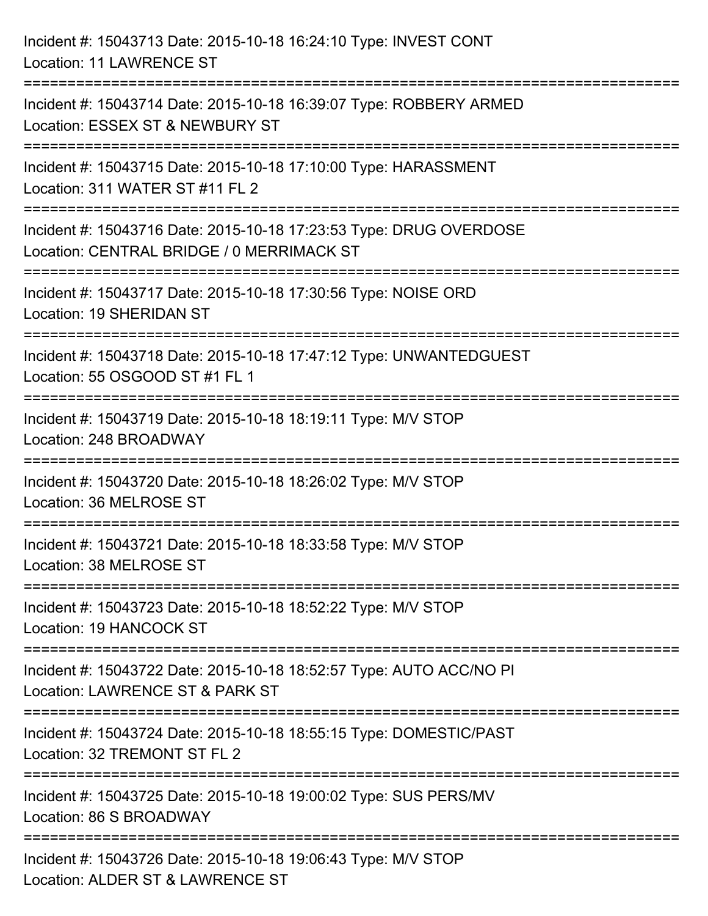| Incident #: 15043713 Date: 2015-10-18 16:24:10 Type: INVEST CONT<br><b>Location: 11 LAWRENCE ST</b>                                        |
|--------------------------------------------------------------------------------------------------------------------------------------------|
| Incident #: 15043714 Date: 2015-10-18 16:39:07 Type: ROBBERY ARMED<br>Location: ESSEX ST & NEWBURY ST                                      |
| Incident #: 15043715 Date: 2015-10-18 17:10:00 Type: HARASSMENT<br>Location: 311 WATER ST #11 FL 2<br>==================================== |
| Incident #: 15043716 Date: 2015-10-18 17:23:53 Type: DRUG OVERDOSE<br>Location: CENTRAL BRIDGE / 0 MERRIMACK ST                            |
| Incident #: 15043717 Date: 2015-10-18 17:30:56 Type: NOISE ORD<br>Location: 19 SHERIDAN ST<br>===================================          |
| Incident #: 15043718 Date: 2015-10-18 17:47:12 Type: UNWANTEDGUEST<br>Location: 55 OSGOOD ST #1 FL 1                                       |
| Incident #: 15043719 Date: 2015-10-18 18:19:11 Type: M/V STOP<br>Location: 248 BROADWAY                                                    |
| Incident #: 15043720 Date: 2015-10-18 18:26:02 Type: M/V STOP<br>Location: 36 MELROSE ST                                                   |
| Incident #: 15043721 Date: 2015-10-18 18:33:58 Type: M/V STOP<br>Location: 38 MELROSE ST                                                   |
| Incident #: 15043723 Date: 2015-10-18 18:52:22 Type: M/V STOP<br><b>Location: 19 HANCOCK ST</b>                                            |
| Incident #: 15043722 Date: 2015-10-18 18:52:57 Type: AUTO ACC/NO PI<br>Location: LAWRENCE ST & PARK ST                                     |
| Incident #: 15043724 Date: 2015-10-18 18:55:15 Type: DOMESTIC/PAST<br>Location: 32 TREMONT ST FL 2                                         |
| Incident #: 15043725 Date: 2015-10-18 19:00:02 Type: SUS PERS/MV<br>Location: 86 S BROADWAY                                                |
| Incident #: 15043726 Date: 2015-10-18 19:06:43 Type: M/V STOP<br>Location: ALDER ST & LAWRENCE ST                                          |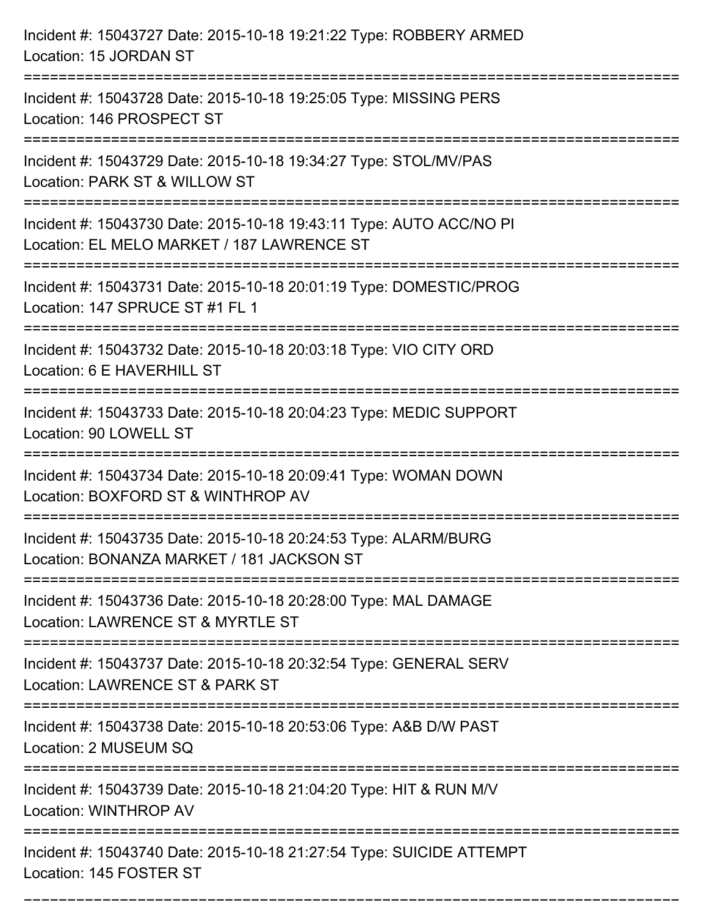| Incident #: 15043727 Date: 2015-10-18 19:21:22 Type: ROBBERY ARMED<br>Location: 15 JORDAN ST                                                            |
|---------------------------------------------------------------------------------------------------------------------------------------------------------|
| Incident #: 15043728 Date: 2015-10-18 19:25:05 Type: MISSING PERS<br>Location: 146 PROSPECT ST                                                          |
| Incident #: 15043729 Date: 2015-10-18 19:34:27 Type: STOL/MV/PAS<br>Location: PARK ST & WILLOW ST<br>===============================                    |
| Incident #: 15043730 Date: 2015-10-18 19:43:11 Type: AUTO ACC/NO PI<br>Location: EL MELO MARKET / 187 LAWRENCE ST<br>:================================= |
| Incident #: 15043731 Date: 2015-10-18 20:01:19 Type: DOMESTIC/PROG<br>Location: 147 SPRUCE ST #1 FL 1                                                   |
| Incident #: 15043732 Date: 2015-10-18 20:03:18 Type: VIO CITY ORD<br>Location: 6 E HAVERHILL ST                                                         |
| Incident #: 15043733 Date: 2015-10-18 20:04:23 Type: MEDIC SUPPORT<br>Location: 90 LOWELL ST                                                            |
| Incident #: 15043734 Date: 2015-10-18 20:09:41 Type: WOMAN DOWN<br>Location: BOXFORD ST & WINTHROP AV                                                   |
| Incident #: 15043735 Date: 2015-10-18 20:24:53 Type: ALARM/BURG<br>Location: BONANZA MARKET / 181 JACKSON ST                                            |
| Incident #: 15043736 Date: 2015-10-18 20:28:00 Type: MAL DAMAGE<br>Location: LAWRENCE ST & MYRTLE ST                                                    |
| Incident #: 15043737 Date: 2015-10-18 20:32:54 Type: GENERAL SERV<br>Location: LAWRENCE ST & PARK ST                                                    |
| Incident #: 15043738 Date: 2015-10-18 20:53:06 Type: A&B D/W PAST<br>Location: 2 MUSEUM SQ                                                              |
| Incident #: 15043739 Date: 2015-10-18 21:04:20 Type: HIT & RUN M/V<br>Location: WINTHROP AV                                                             |
| Incident #: 15043740 Date: 2015-10-18 21:27:54 Type: SUICIDE ATTEMPT<br>Location: 145 FOSTER ST                                                         |

===========================================================================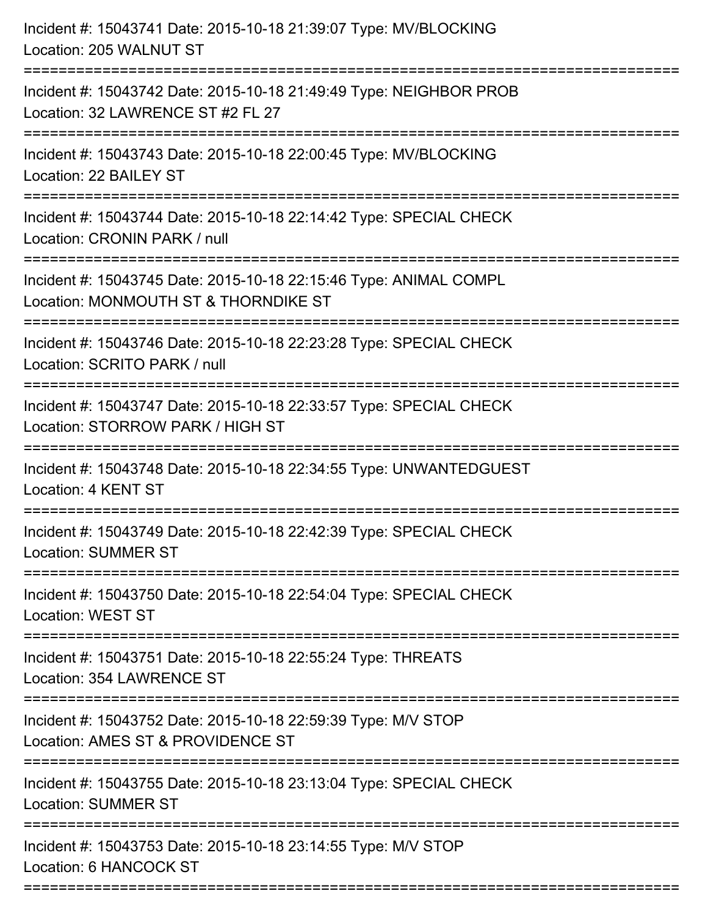| Incident #: 15043741 Date: 2015-10-18 21:39:07 Type: MV/BLOCKING<br>Location: 205 WALNUT ST                                            |
|----------------------------------------------------------------------------------------------------------------------------------------|
| Incident #: 15043742 Date: 2015-10-18 21:49:49 Type: NEIGHBOR PROB<br>Location: 32 LAWRENCE ST #2 FL 27                                |
| Incident #: 15043743 Date: 2015-10-18 22:00:45 Type: MV/BLOCKING<br>Location: 22 BAILEY ST                                             |
| Incident #: 15043744 Date: 2015-10-18 22:14:42 Type: SPECIAL CHECK<br>Location: CRONIN PARK / null                                     |
| Incident #: 15043745 Date: 2015-10-18 22:15:46 Type: ANIMAL COMPL<br>Location: MONMOUTH ST & THORNDIKE ST<br>;======================== |
| Incident #: 15043746 Date: 2015-10-18 22:23:28 Type: SPECIAL CHECK<br>Location: SCRITO PARK / null                                     |
| Incident #: 15043747 Date: 2015-10-18 22:33:57 Type: SPECIAL CHECK<br>Location: STORROW PARK / HIGH ST                                 |
| Incident #: 15043748 Date: 2015-10-18 22:34:55 Type: UNWANTEDGUEST<br>Location: 4 KENT ST                                              |
| Incident #: 15043749 Date: 2015-10-18 22:42:39 Type: SPECIAL CHECK<br><b>Location: SUMMER ST</b>                                       |
| Incident #: 15043750 Date: 2015-10-18 22:54:04 Type: SPECIAL CHECK<br><b>Location: WEST ST</b>                                         |
| Incident #: 15043751 Date: 2015-10-18 22:55:24 Type: THREATS<br>Location: 354 LAWRENCE ST                                              |
| Incident #: 15043752 Date: 2015-10-18 22:59:39 Type: M/V STOP<br>Location: AMES ST & PROVIDENCE ST                                     |
| Incident #: 15043755 Date: 2015-10-18 23:13:04 Type: SPECIAL CHECK<br><b>Location: SUMMER ST</b>                                       |
| Incident #: 15043753 Date: 2015-10-18 23:14:55 Type: M/V STOP<br>Location: 6 HANCOCK ST                                                |
|                                                                                                                                        |